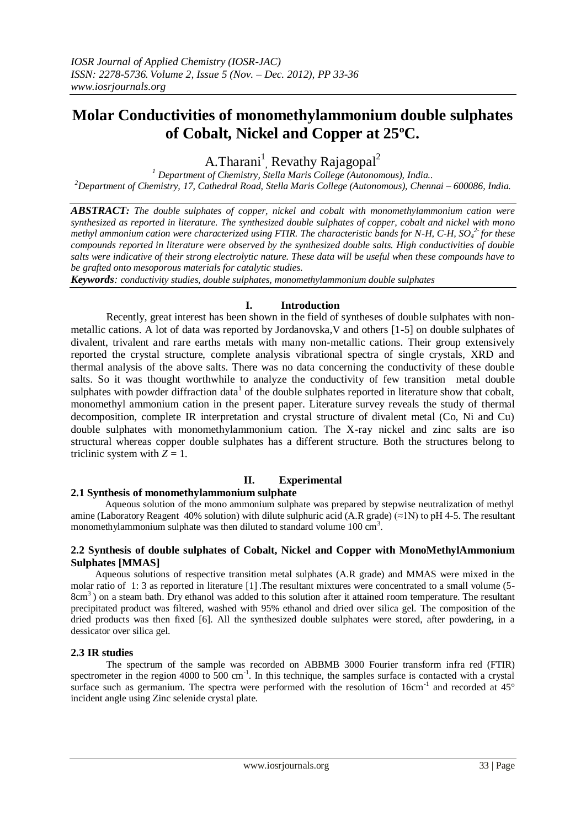# **Molar Conductivities of monomethylammonium double sulphates of Cobalt, Nickel and Copper at 25ºC.**

A.Tharani<sup>1</sup>, Revathy Rajagopal<sup>2</sup>

*<sup>1</sup> Department of Chemistry, Stella Maris College (Autonomous), India.. <sup>2</sup>Department of Chemistry, 17, Cathedral Road, Stella Maris College (Autonomous), Chennai – 600086, India.*

*ABSTRACT: The double sulphates of copper, nickel and cobalt with monomethylammonium cation were synthesized as reported in literature. The synthesized double sulphates of copper, cobalt and nickel with mono methyl ammonium cation were characterized using FTIR. The characteristic bands for N-H, C-H, SO<sub>4</sub><sup>2</sup> for these compounds reported in literature were observed by the synthesized double salts. High conductivities of double salts were indicative of their strong electrolytic nature. These data will be useful when these compounds have to be grafted onto mesoporous materials for catalytic studies.*

*Keywords: conductivity studies, double sulphates, monomethylammonium double sulphates*

# **I. Introduction**

Recently, great interest has been shown in the field of syntheses of double sulphates with nonmetallic cations. A lot of data was reported by Jordanovska,V and others [1-5] on double sulphates of divalent, trivalent and rare earths metals with many non-metallic cations. Their group extensively reported the crystal structure, complete analysis vibrational spectra of single crystals, XRD and thermal analysis of the above salts. There was no data concerning the conductivity of these double salts. So it was thought worthwhile to analyze the conductivity of few transition metal double sulphates with powder diffraction data<sup>1</sup> of the double sulphates reported in literature show that cobalt, monomethyl ammonium cation in the present paper. Literature survey reveals the study of thermal decomposition, complete IR interpretation and crystal structure of divalent metal (Co, Ni and Cu) double sulphates with monomethylammonium cation. The X-ray nickel and zinc salts are iso structural whereas copper double sulphates has a different structure. Both the structures belong to triclinic system with  $Z = 1$ .

# **II. Experimental**

# **2.1 Synthesis of monomethylammonium sulphate**

 Aqueous solution of the mono ammonium sulphate was prepared by stepwise neutralization of methyl amine (Laboratory Reagent 40% solution) with dilute sulphuric acid (A.R grade) ( $\approx$ 1N) to pH 4-5. The resultant monomethylammonium sulphate was then diluted to standard volume 100 cm<sup>3</sup>.

# **2.2 Synthesis of double sulphates of Cobalt, Nickel and Copper with MonoMethylAmmonium Sulphates [MMAS]**

 Aqueous solutions of respective transition metal sulphates (A.R grade) and MMAS were mixed in the molar ratio of 1: 3 as reported in literature [1] .The resultant mixtures were concentrated to a small volume (5- 8cm<sup>3</sup>) on a steam bath. Dry ethanol was added to this solution after it attained room temperature. The resultant precipitated product was filtered, washed with 95% ethanol and dried over silica gel. The composition of the dried products was then fixed [6]. All the synthesized double sulphates were stored, after powdering, in a dessicator over silica gel.

# **2.3 IR studies**

 The spectrum of the sample was recorded on ABBMB 3000 Fourier transform infra red (FTIR) spectrometer in the region 4000 to  $500 \text{ cm}^{-1}$ . In this technique, the samples surface is contacted with a crystal surface such as germanium. The spectra were performed with the resolution of  $16cm^{-1}$  and recorded at  $45^{\circ}$ incident angle using Zinc selenide crystal plate.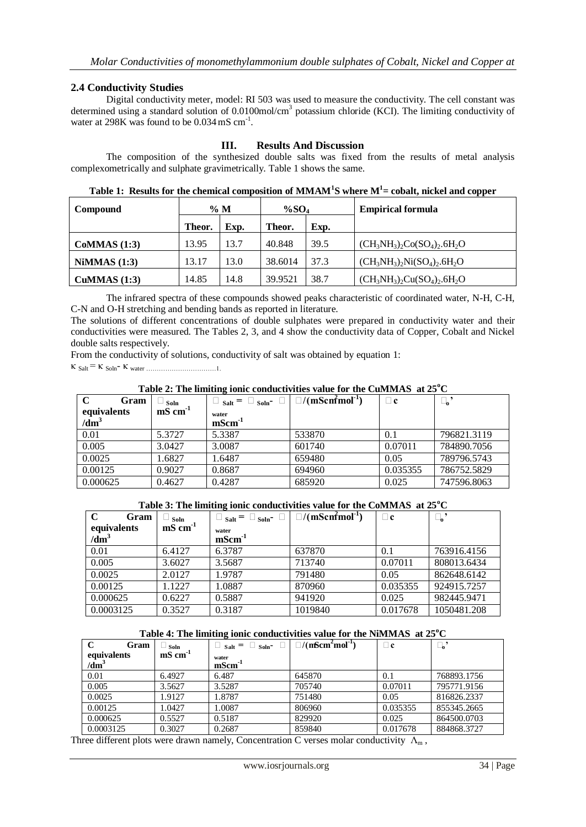# **2.4 Conductivity Studies**

 Digital conductivity meter, model: RI 503 was used to measure the conductivity. The cell constant was determined using a standard solution of 0.0100mol/cm<sup>3</sup> potassium chloride (KCI). The limiting conductivity of water at  $298K$  was found to be  $0.034$  mS cm<sup>-1</sup>.

# **III. Results And Discussion**

 The composition of the synthesized double salts was fixed from the results of metal analysis complexometrically and sulphate gravimetrically. Table 1 shows the same.

| Compound     | %M     |      | $\%SO_4$ |      | <b>Empirical formula</b>       |
|--------------|--------|------|----------|------|--------------------------------|
|              | Theor. | Exp. | Theor.   | Exp. |                                |
| COMMAS (1:3) | 13.95  | 13.7 | 40.848   | 39.5 | $(CH_3NH_3)_2Co(SO_4)_2.6H_2O$ |
| NIMMAS (1:3) | 13.17  | 13.0 | 38.6014  | 37.3 | $(CH_3NH_3)_2Ni(SO_4)_2.6H_2O$ |
| CuMMAS(1:3)  | 14.85  | 14.8 | 39.9521  | 38.7 | $(CH_3NH_3)_2Cu(SO_4)_2.6H_2O$ |
|              |        |      |          |      |                                |

**Table 1: Results for the chemical composition of MMAM<sup>1</sup> S where M<sup>1</sup> = cobalt, nickel and copper**

 The infrared spectra of these compounds showed peaks characteristic of coordinated water, N-H, C-H, C-N and O-H stretching and bending bands as reported in literature.

The solutions of different concentrations of double sulphates were prepared in conductivity water and their conductivities were measured. The Tables 2, 3, and 4 show the conductivity data of Copper, Cobalt and Nickel double salts respectively.

From the conductivity of solutions, conductivity of salt was obtained by equation 1:

κ Salt = κ Soln- κ water ……………………………1.

|  |  | Table 2: The limiting ionic conductivities value for the CuMMAS at $25^{\circ}$ C |  |  |  |
|--|--|-----------------------------------------------------------------------------------|--|--|--|
|--|--|-----------------------------------------------------------------------------------|--|--|--|

| $\mathbf C$<br>Gram | Soln                | $\Box$ Salt = $\Box$ Soln | $\square$ /(mScm $^2$ mol <sup>-1</sup> ) | $\sqcup$ c | $\mathbb{L}^{\prime}$ |
|---------------------|---------------------|---------------------------|-------------------------------------------|------------|-----------------------|
| equivalents         | $\text{mS cm}^{-1}$ | water                     |                                           |            |                       |
| /dm <sup>3</sup>    |                     | $mScm-1$                  |                                           |            |                       |
| 0.01                | 5.3727              | 5.3387                    | 533870                                    | 0.1        | 796821.3119           |
| 0.005               | 3.0427              | 3.0087                    | 601740                                    | 0.07011    | 784890.7056           |
| 0.0025              | .6827               | 1.6487                    | 659480                                    | 0.05       | 789796.5743           |
| 0.00125             | 0.9027              | 0.8687                    | 694960                                    | 0.035355   | 786752.5829           |
| 0.000625            | 0.4627              | 0.4287                    | 685920                                    | 0.025      | 747596.8063           |

#### **Table 3: The limiting ionic conductivities value for the CoMMAS at 25<sup>o</sup>C**

| $\mathbf C$<br>Gram             | $\sqcup$ Soln         | $\Box$ Salt = $\Box$ Soln- | $\square/(mScm2mol-1)$ | $\Box$ c | $\mathbb{L}^{\prime}$ |
|---------------------------------|-----------------------|----------------------------|------------------------|----------|-----------------------|
| equivalents<br>/dm <sup>3</sup> | $mS$ cm <sup>-1</sup> | water<br>$mScm-1$          |                        |          |                       |
| 0.01                            | 6.4127                | 6.3787                     | 637870                 | 0.1      | 763916.4156           |
| 0.005                           | 3.6027                | 3.5687                     | 713740                 | 0.07011  | 808013.6434           |
| 0.0025                          | 2.0127                | 1.9787                     | 791480                 | 0.05     | 862648.6142           |
| 0.00125                         | 1.1227                | 1.0887                     | 870960                 | 0.035355 | 924915.7257           |
| 0.000625                        | 0.6227                | 0.5887                     | 941920                 | 0.025    | 982445.9471           |
| 0.0003125                       | 0.3527                | 0.3187                     | 1019840                | 0.017678 | 1050481.208           |

#### **Table 4: The limiting ionic conductivities value for the NiMMAS at 25<sup>o</sup>C**

| $\mathbf C$<br>Gram     | Soln                | $\Box$ Salt = $\Box$<br>Soln <sup>-</sup> | $\Box$ /(mScm <sup>2</sup> mol <sup>-1</sup> ) | ⊟ c      | –∩          |
|-------------------------|---------------------|-------------------------------------------|------------------------------------------------|----------|-------------|
| equivalents<br>$\sin^3$ | $\text{mS cm}^{-1}$ | water<br>$mScm^{-1}$                      |                                                |          |             |
| 0.01                    | 6.4927              | 6.487                                     | 645870                                         | 0.1      | 768893.1756 |
| 0.005                   | 3.5627              | 3.5287                                    | 705740                                         | 0.07011  | 795771.9156 |
| 0.0025                  | 1.9127              | 1.8787                                    | 751480                                         | 0.05     | 816826.2337 |
| 0.00125                 | 1.0427              | 1.0087                                    | 806960                                         | 0.035355 | 855345.2665 |
| 0.000625                | 0.5527              | 0.5187                                    | 829920                                         | 0.025    | 864500.0703 |
| 0.0003125               | 0.3027              | 0.2687                                    | 859840                                         | 0.017678 | 884868.3727 |

Three different plots were drawn namely, Concentration C verses molar conductivity  $\Lambda_m$ ,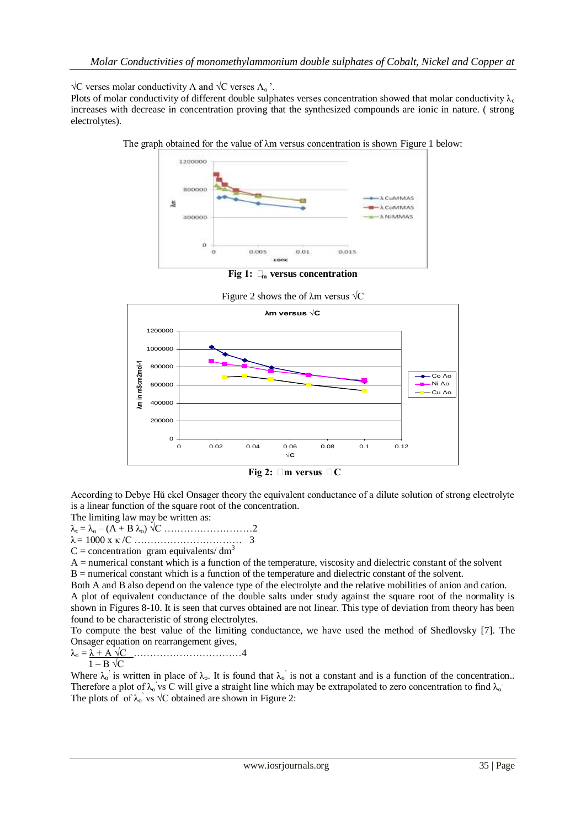$\sqrt{\text{C}}$  verses molar conductivity  $\Lambda$  and  $\sqrt{\text{C}}$  verses  $\Lambda_0$ .

Plots of molar conductivity of different double sulphates verses concentration showed that molar conductivity  $\lambda_c$ increases with decrease in concentration proving that the synthesized compounds are ionic in nature. ( strong electrolytes).



The graph obtained for the value of λm versus concentration is shown Figure 1 below:







According to Debye Hŭ ckel Onsager theory the equivalent conductance of a dilute solution of strong electrolyte is a linear function of the square root of the concentration.

The limiting law may be written as:

λc = λ<sup>o</sup> – (A + B λo) √C ………………………2

λ = 1000 x κ /C …………………………… 3  $C =$  concentration gram equivalents/ $dm<sup>3</sup>$ 

A = numerical constant which is a function of the temperature, viscosity and dielectric constant of the solvent B = numerical constant which is a function of the temperature and dielectric constant of the solvent.

Both A and B also depend on the valence type of the electrolyte and the relative mobilities of anion and cation. A plot of equivalent conductance of the double salts under study against the square root of the normality is shown in Figures 8-10. It is seen that curves obtained are not linear. This type of deviation from theory has been found to be characteristic of strong electrolytes.

To compute the best value of the limiting conductance, we have used the method of Shedlovsky [7]. The Onsager equation on rearrangement gives,

λ<sup>o</sup> = λ + A √C ……………………………4  $1 - B \sqrt{C}$ 

Where  $\lambda_0$  is written in place of  $\lambda_0$ . It is found that  $\lambda_0$  is not a constant and is a function of the concentration.. Therefore a plot of  $\lambda_0$  vs C will give a straight line which may be extrapolated to zero concentration to find  $\lambda_0$ The plots of of  $\lambda_0$  vs  $\sqrt{\text{C}}$  obtained are shown in Figure 2: